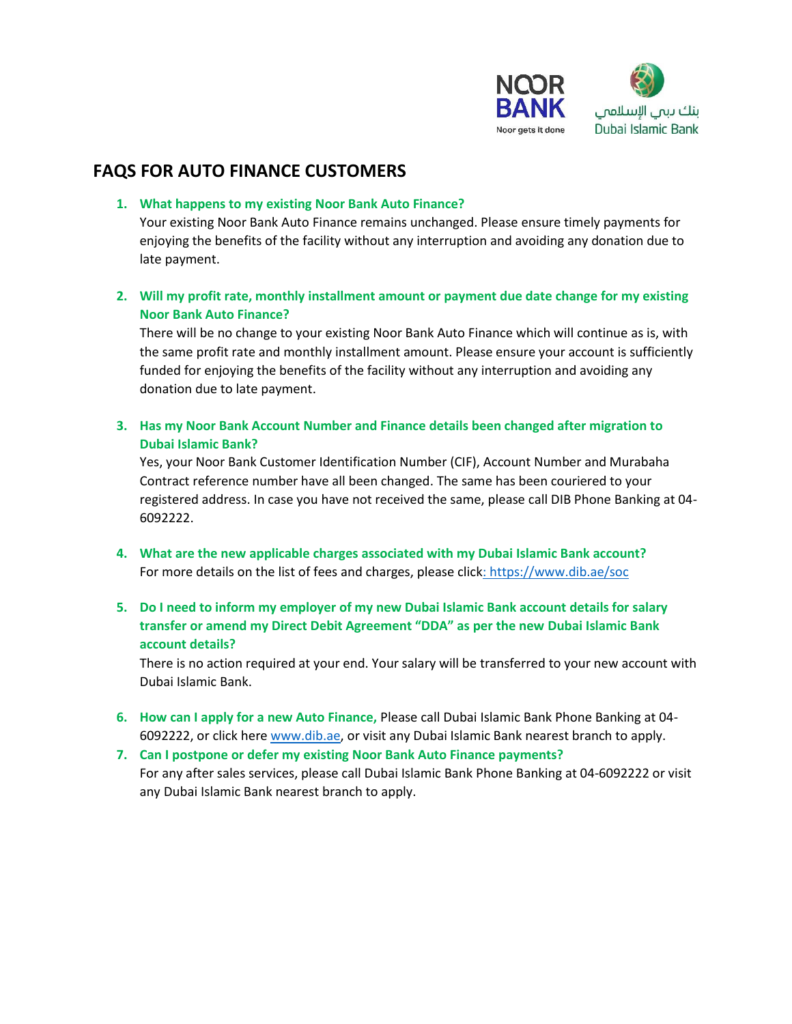

# **FAQS FOR AUTO FINANCE CUSTOMERS**

**1. What happens to my existing Noor Bank Auto Finance?**

Your existing Noor Bank Auto Finance remains unchanged. Please ensure timely payments for enjoying the benefits of the facility without any interruption and avoiding any donation due to late payment.

**2. Will my profit rate, monthly installment amount or payment due date change for my existing Noor Bank Auto Finance?**

There will be no change to your existing Noor Bank Auto Finance which will continue as is, with the same profit rate and monthly installment amount. Please ensure your account is sufficiently funded for enjoying the benefits of the facility without any interruption and avoiding any donation due to late payment.

**3. Has my Noor Bank Account Number and Finance details been changed after migration to Dubai Islamic Bank?**

Yes, your Noor Bank Customer Identification Number (CIF), Account Number and Murabaha Contract reference number have all been changed. The same has been couriered to your registered address. In case you have not received the same, please call DIB Phone Banking at 04- 6092222.

- **4. What are the new applicable charges associated with my Dubai Islamic Bank account?**  For more details on the list of fees and charges, please click[: https://www.dib.ae/soc](https://www.dib.ae/soc)
- **5. Do I need to inform my employer of my new Dubai Islamic Bank account details for salary transfer or amend my Direct Debit Agreement "DDA" as per the new Dubai Islamic Bank account details?**

There is no action required at your end. Your salary will be transferred to your new account with Dubai Islamic Bank.

- **6. How can I apply for a new Auto Finance,** Please call Dubai Islamic Bank Phone Banking at 04- 6092222, or click here [www.dib.ae,](http://www.dib.ae/) or visit any Dubai Islamic Bank nearest branch to apply.
- **7. Can I postpone or defer my existing Noor Bank Auto Finance payments?** For any after sales services, please call Dubai Islamic Bank Phone Banking at 04-6092222 or visit any Dubai Islamic Bank nearest branch to apply.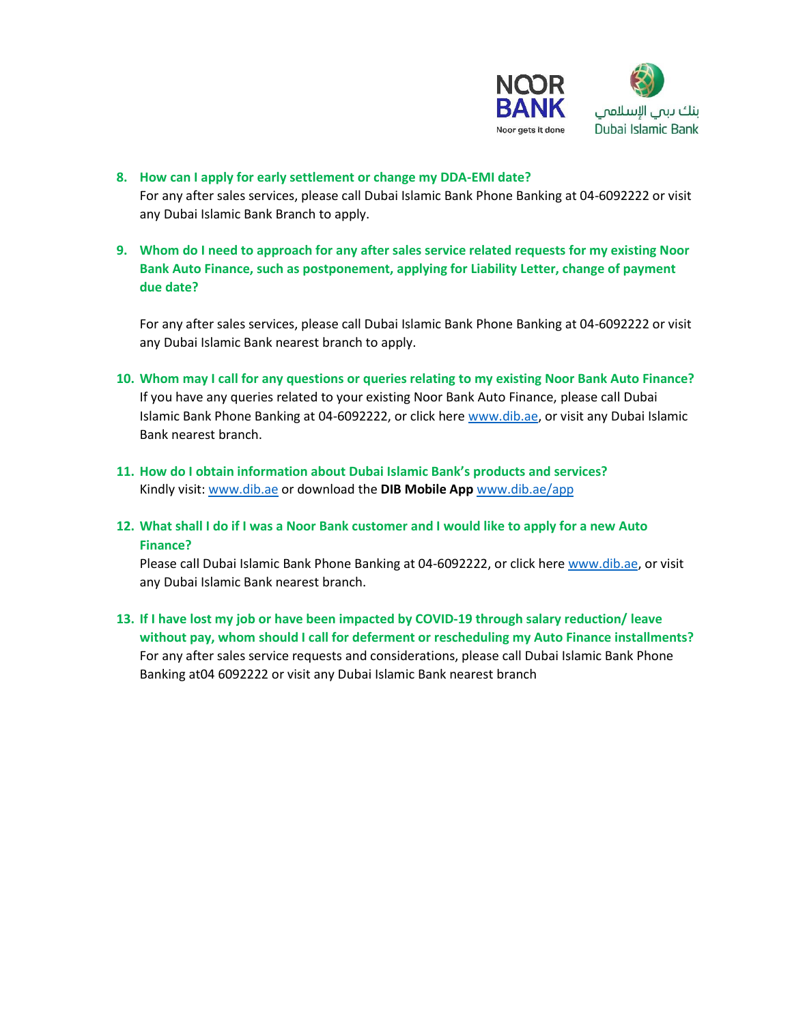

- **8. How can I apply for early settlement or change my DDA-EMI date?** For any after sales services, please call Dubai Islamic Bank Phone Banking at 04-6092222 or visit any Dubai Islamic Bank Branch to apply.
- **9. Whom do I need to approach for any after sales service related requests for my existing Noor Bank Auto Finance, such as postponement, applying for Liability Letter, change of payment due date?**

For any after sales services, please call Dubai Islamic Bank Phone Banking at 04-6092222 or visit any Dubai Islamic Bank nearest branch to apply.

- **10. Whom may I call for any questions or queries relating to my existing Noor Bank Auto Finance?** If you have any queries related to your existing Noor Bank Auto Finance, please call Dubai Islamic Bank Phone Banking at 04-6092222, or click here [www.dib.ae,](http://www.dib.ae/) or visit any Dubai Islamic Bank nearest branch.
- **11. How do I obtain information about Dubai Islamic Bank's products and services?** Kindly visit: [www.dib.ae](http://www.dib.ae/) or download the **DIB Mobile App** [www.dib.ae/app](http://www.dib.ae/app)
- **12. What shall I do if I was a Noor Bank customer and I would like to apply for a new Auto Finance?**

Please call Dubai Islamic Bank Phone Banking at 04-6092222, or click here [www.dib.ae,](http://www.dib.ae/) or visit any Dubai Islamic Bank nearest branch.

**13. If I have lost my job or have been impacted by COVID-19 through salary reduction/ leave without pay, whom should I call for deferment or rescheduling my Auto Finance installments?** For any after sales service requests and considerations, please call Dubai Islamic Bank Phone Banking at04 6092222 or visit any Dubai Islamic Bank nearest branch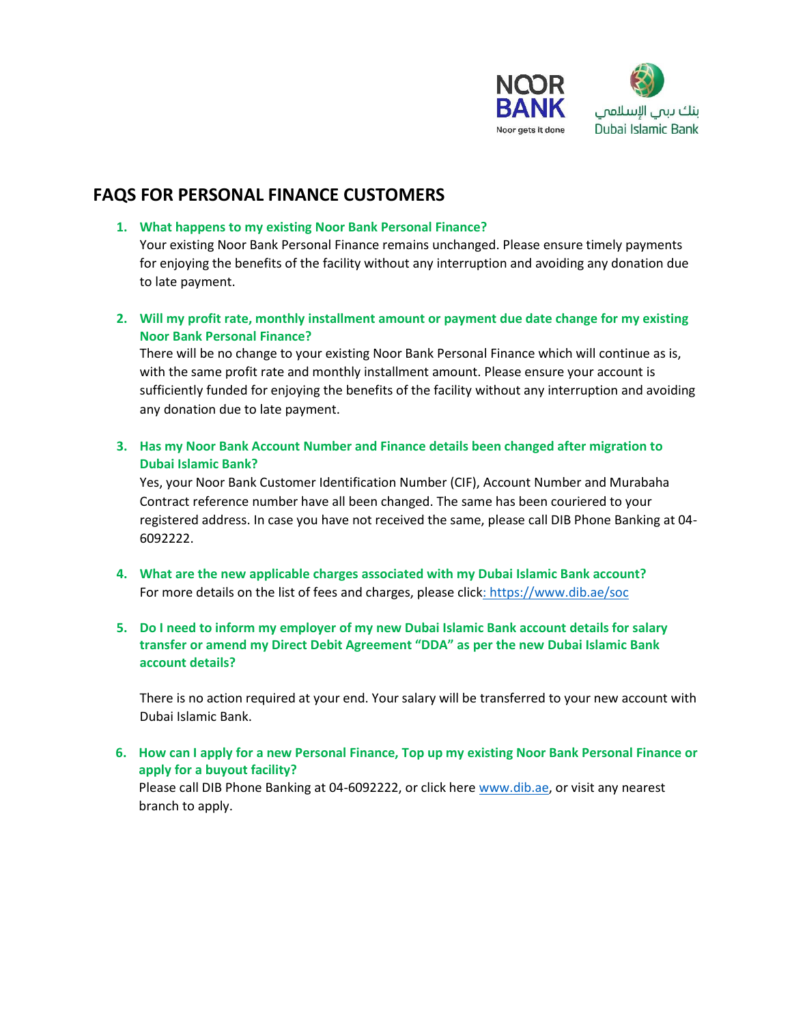

# **FAQS FOR PERSONAL FINANCE CUSTOMERS**

## **1. What happens to my existing Noor Bank Personal Finance?**

Your existing Noor Bank Personal Finance remains unchanged. Please ensure timely payments for enjoying the benefits of the facility without any interruption and avoiding any donation due to late payment.

# **2. Will my profit rate, monthly installment amount or payment due date change for my existing Noor Bank Personal Finance?**

There will be no change to your existing Noor Bank Personal Finance which will continue as is, with the same profit rate and monthly installment amount. Please ensure your account is sufficiently funded for enjoying the benefits of the facility without any interruption and avoiding any donation due to late payment.

**3. Has my Noor Bank Account Number and Finance details been changed after migration to Dubai Islamic Bank?**

Yes, your Noor Bank Customer Identification Number (CIF), Account Number and Murabaha Contract reference number have all been changed. The same has been couriered to your registered address. In case you have not received the same, please call DIB Phone Banking at 04- 6092222.

**4. What are the new applicable charges associated with my Dubai Islamic Bank account?**  For more details on the list of fees and charges, please click[: https://www.dib.ae/soc](https://www.dib.ae/soc)

## **5. Do I need to inform my employer of my new Dubai Islamic Bank account details for salary transfer or amend my Direct Debit Agreement "DDA" as per the new Dubai Islamic Bank account details?**

There is no action required at your end. Your salary will be transferred to your new account with Dubai Islamic Bank.

**6. How can I apply for a new Personal Finance, Top up my existing Noor Bank Personal Finance or apply for a buyout facility?**

Please call DIB Phone Banking at 04-6092222, or click here [www.dib.ae,](http://www.dib.ae/) or visit any nearest branch to apply.